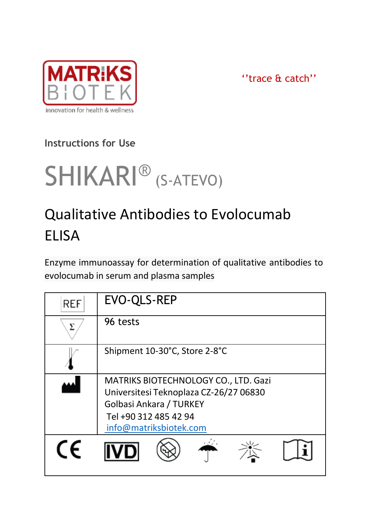

''trace & catch''

# **Instructions for Use**

# SHIKARI<sup>®</sup> (S-ATEVO)

# Qualitative Antibodies to Evolocumab **FLISA**

Enzyme immunoassay for determination of qualitative antibodies to evolocumab in serum and plasma samples

| REF        | EVO-QLS-REP                                                                                                                                                  |  |
|------------|--------------------------------------------------------------------------------------------------------------------------------------------------------------|--|
| ᠶ          | 96 tests                                                                                                                                                     |  |
|            | Shipment 10-30°C, Store 2-8°C                                                                                                                                |  |
|            | MATRIKS BIOTECHNOLOGY CO., LTD. Gazi<br>Universitesi Teknoplaza CZ-26/27 06830<br>Golbasi Ankara / TURKEY<br>Tel +90 312 485 42 94<br>info@matriksbiotek.com |  |
| $\epsilon$ |                                                                                                                                                              |  |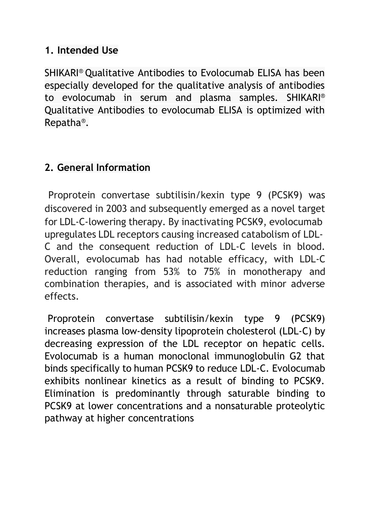#### **1. Intended Use**

SHIKARI® Qualitative Antibodies to Evolocumab ELISA has been especially developed for the qualitative analysis of antibodies to evolocumab in serum and plasma samples. SHIKARI® Qualitative Antibodies to evolocumab ELISA is optimized with Repatha®.

#### **2. General Information**

Proprotein convertase subtilisin/kexin type 9 (PCSK9) was discovered in 2003 and subsequently emerged as a novel target for LDL-C-lowering therapy. By inactivating PCSK9, evolocumab upregulates LDL receptors causing increased catabolism of LDL-C and the consequent reduction of LDL-C levels in blood. Overall, evolocumab has had notable efficacy, with LDL-C reduction ranging from 53% to 75% in monotherapy and combination therapies, and is associated with minor adverse effects.

Proprotein convertase subtilisin/kexin type 9 (PCSK9) increases plasma low-density lipoprotein cholesterol (LDL-C) by decreasing expression of the LDL receptor on hepatic cells. Evolocumab is a human monoclonal immunoglobulin G2 that binds specifically to human PCSK9 to reduce LDL-C. Evolocumab exhibits nonlinear kinetics as a result of binding to PCSK9. Elimination is predominantly through saturable binding to PCSK9 at lower concentrations and a nonsaturable proteolytic pathway at higher concentrations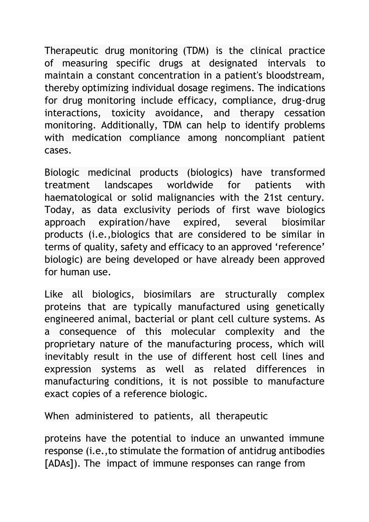Therapeutic drug monitoring (TDM) is the clinical practice of measuring specific drugs at designated intervals to maintain a constant concentration in a patient's bloodstream, thereby optimizing individual dosage regimens. The indications for drug monitoring include efficacy, compliance, drug-drug interactions, toxicity avoidance, and therapy cessation monitoring. Additionally, TDM can help to identify problems with medication compliance among noncompliant patient cases.

Biologic medicinal products (biologics) have transformed treatment landscapes worldwide for patients with haematological or solid malignancies with the 21st century. Today, as data exclusivity periods of first wave biologics approach expiration/have expired, several biosimilar products (i.e.,biologics that are considered to be similar in terms of quality, safety and efficacy to an approved 'reference' biologic) are being developed or have already been approved for human use.

Like all biologics, biosimilars are structurally complex proteins that are typically manufactured using genetically engineered animal, bacterial or plant cell culture systems. As a consequence of this molecular complexity and the proprietary nature of the manufacturing process, which will inevitably result in the use of different host cell lines and expression systems as well as related differences in manufacturing conditions, it is not possible to manufacture exact copies of a reference biologic.

When administered to patients, all therapeutic

proteins have the potential to induce an unwanted immune response (i.e.,to stimulate the formation of antidrug antibodies [ADAs]). The impact of immune responses can range from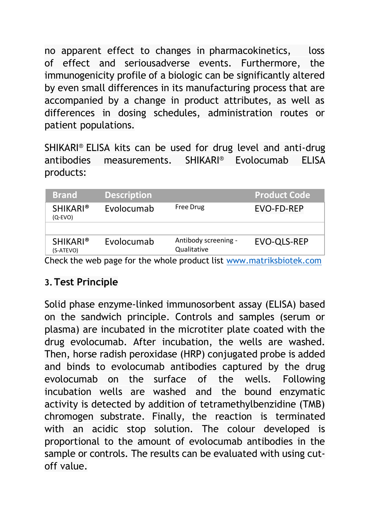no apparent effect to changes in pharmacokinetics, loss of effect and seriousadverse events. Furthermore, the immunogenicity profile of a biologic can be significantly altered by even small differences in its manufacturing process that are accompanied by a change in product attributes, as well as differences in dosing schedules, administration routes or patient populations.

SHIKARI® ELISA kits can be used for drug level and anti-drug antibodies measurements. SHIKARI® Evolocumab ELISA products:

| <b>Brand</b>                 | <b>Description</b> |                                                                         | <b>Product Code</b> |
|------------------------------|--------------------|-------------------------------------------------------------------------|---------------------|
| <b>SHIKARI®</b><br>$(O-EVO)$ | Evolocumab         | Free Drug                                                               | EVO-FD-REP          |
|                              |                    |                                                                         |                     |
| <b>SHIKARI®</b><br>(S-ATEVO) | Evolocumab         | Antibody screening -<br>Qualitative                                     | EVO-OLS-REP         |
|                              |                    | Chaolisha wakinaza farika whala neadwatilisti www.inaterbalatatali aana |                     |

Check the web page for the whole product list [www.matriksbiotek.com](file:///C:/Users/Matrix/Documents/www.matriksbiotek.com)

#### **3.Test Principle**

Solid phase enzyme-linked immunosorbent assay (ELISA) based on the sandwich principle. Controls and samples (serum or plasma) are incubated in the microtiter plate coated with the drug evolocumab. After incubation, the wells are washed. Then, horse radish peroxidase (HRP) conjugated probe is added and binds to evolocumab antibodies captured by the drug evolocumab on the surface of the wells. Following incubation wells are washed and the bound enzymatic activity is detected by addition of tetramethylbenzidine (TMB) chromogen substrate. Finally, the reaction is terminated with an acidic stop solution. The colour developed is proportional to the amount of evolocumab antibodies in the sample or controls. The results can be evaluated with using cutoff value.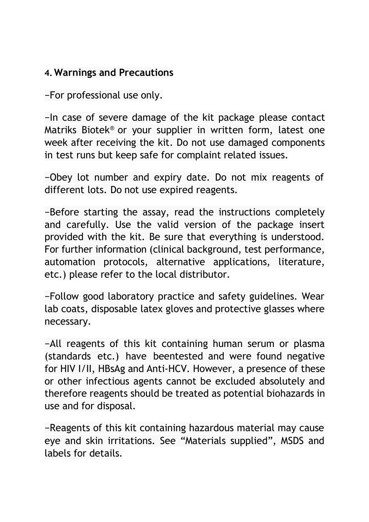#### **4.Warnings and Precautions**

−For professional use only.

−In case of severe damage of the kit package please contact Matriks Biotek® or your supplier in written form, latest one week after receiving the kit. Do not use damaged components in test runs but keep safe for complaint related issues.

−Obey lot number and expiry date. Do not mix reagents of different lots. Do not use expired reagents.

−Before starting the assay, read the instructions completely and carefully. Use the valid version of the package insert provided with the kit. Be sure that everything is understood. For further information (clinical background, test performance, automation protocols, alternative applications, literature, etc.) please refer to the local distributor.

−Follow good laboratory practice and safety guidelines. Wear lab coats, disposable latex gloves and protective glasses where necessary.

−All reagents of this kit containing human serum or plasma (standards etc.) have beentested and were found negative for HIV I/II, HBsAg and Anti-HCV. However, a presence of these or other infectious agents cannot be excluded absolutely and therefore reagents should be treated as potential biohazards in use and for disposal.

−Reagents of this kit containing hazardous material may cause eye and skin irritations. See "Materials supplied", MSDS and labels for details.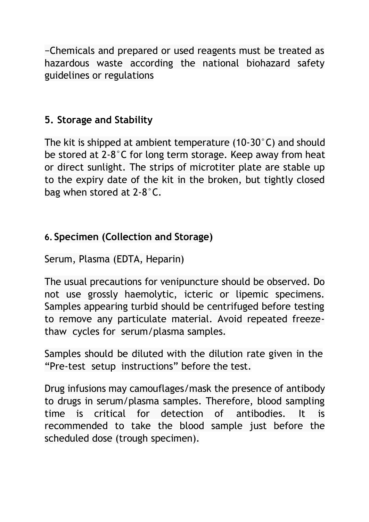−Chemicals and prepared or used reagents must be treated as hazardous waste according the national biohazard safety guidelines or regulations

#### **5. Storage and Stability**

The kit is shipped at ambient temperature (10-30°C) and should be stored at 2-8°C for long term storage. Keep away from heat or direct sunlight. The strips of microtiter plate are stable up to the expiry date of the kit in the broken, but tightly closed bag when stored at 2-8°C.

#### **6. Specimen (Collection and Storage)**

Serum, Plasma (EDTA, Heparin)

The usual precautions for venipuncture should be observed. Do not use grossly haemolytic, icteric or lipemic specimens. Samples appearing turbid should be centrifuged before testing to remove any particulate material. Avoid repeated freezethaw cycles for serum/plasma samples.

Samples should be diluted with the dilution rate given in the "Pre-test setup instructions" before the test.

Drug infusions may camouflages/mask the presence of antibody to drugs in serum/plasma samples. Therefore, blood sampling time is critical for detection of antibodies. It is recommended to take the blood sample just before the scheduled dose (trough specimen).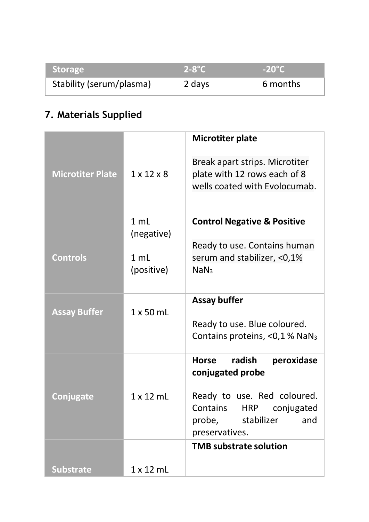| <b>Storage</b>           | $2-8$ °C | $-20^{\circ}$ C |
|--------------------------|----------|-----------------|
| Stability (serum/plasma) | 2 days   | 6 months        |

# **7. Materials Supplied**

|                         |                              | Microtiter plate                                                                                |
|-------------------------|------------------------------|-------------------------------------------------------------------------------------------------|
| <b>Microtiter Plate</b> | $1 \times 12 \times 8$       | Break apart strips. Microtiter<br>plate with 12 rows each of 8<br>wells coated with Evolocumab. |
|                         | $1 \text{ ml}$<br>(negative) | <b>Control Negative &amp; Positive</b>                                                          |
|                         |                              | Ready to use. Contains human                                                                    |
| <b>Controls</b>         | 1 mL                         | serum and stabilizer, <0,1%                                                                     |
|                         | (positive)                   | <b>NaN</b>                                                                                      |
|                         |                              | Assay buffer                                                                                    |
| <b>Assay Buffer</b>     | $1 \times 50$ mL             |                                                                                                 |
|                         |                              | Ready to use. Blue coloured.                                                                    |
|                         |                              | Contains proteins, <0,1 % NaN <sub>3</sub>                                                      |
|                         |                              | radish<br><b>Horse</b><br>peroxidase<br>conjugated probe                                        |
|                         | $1 \times 12$ ml             | Ready to use. Red coloured.                                                                     |
| Conjugate               |                              | Contains<br>conjugated<br><b>HRP</b>                                                            |
|                         |                              | probe,<br>stabilizer<br>and                                                                     |
|                         |                              | preservatives.                                                                                  |
|                         |                              | <b>TMB substrate solution</b>                                                                   |
| <b>Substrate</b>        | $1 \times 12$ mL             |                                                                                                 |
|                         |                              |                                                                                                 |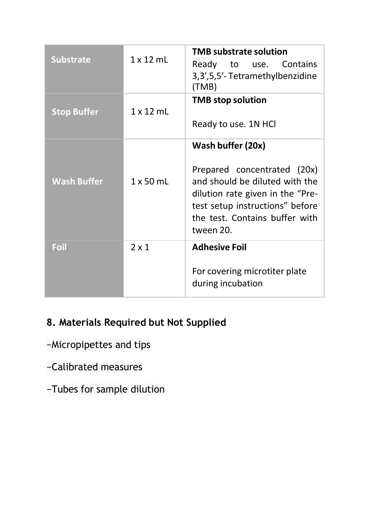| <b>Substrate</b>   | $1 \times 12$ mL | <b>TMB substrate solution</b><br>Ready to use. Contains<br>3,3',5,5'-Tetramethylbenzidine<br>(TMB)                                                                                                       |  |
|--------------------|------------------|----------------------------------------------------------------------------------------------------------------------------------------------------------------------------------------------------------|--|
| <b>Stop Buffer</b> | $1 \times 12$ ml | <b>TMB</b> stop solution<br>Ready to use. 1N HCl                                                                                                                                                         |  |
| <b>Wash Buffer</b> | $1 \times 50$ mL | Wash buffer (20x)<br>Prepared concentrated (20x)<br>and should be diluted with the<br>dilution rate given in the "Pre-<br>test setup instructions" before<br>the test. Contains buffer with<br>tween 20. |  |
| Foil               | $2 \times 1$     | <b>Adhesive Foil</b><br>For covering microtiter plate<br>during incubation                                                                                                                               |  |

# **8. Materials Required but Not Supplied**

- −Micropipettes and tips
- −Calibrated measures
- −Tubes for sample dilution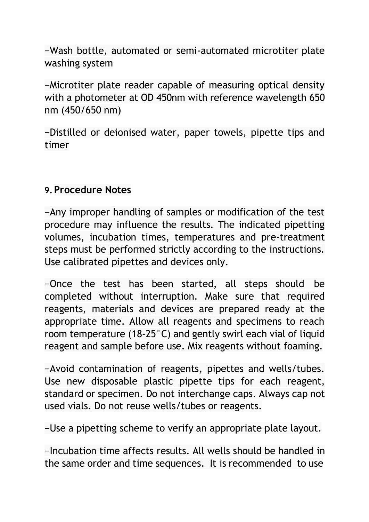−Wash bottle, automated or semi-automated microtiter plate washing system

−Microtiter plate reader capable of measuring optical density with a photometer at OD 450nm with reference wavelength 650 nm (450/650 nm)

−Distilled or deionised water, paper towels, pipette tips and timer

#### **9.Procedure Notes**

−Any improper handling of samples or modification of the test procedure may influence the results. The indicated pipetting volumes, incubation times, temperatures and pre-treatment steps must be performed strictly according to the instructions. Use calibrated pipettes and devices only.

−Once the test has been started, all steps should be completed without interruption. Make sure that required reagents, materials and devices are prepared ready at the appropriate time. Allow all reagents and specimens to reach room temperature (18-25°C) and gently swirl each vial of liquid reagent and sample before use. Mix reagents without foaming.

−Avoid contamination of reagents, pipettes and wells/tubes. Use new disposable plastic pipette tips for each reagent, standard or specimen. Do not interchange caps. Always cap not used vials. Do not reuse wells/tubes or reagents.

−Use a pipetting scheme to verify an appropriate plate layout.

−Incubation time affects results. All wells should be handled in the same order and time sequences. It is recommended to use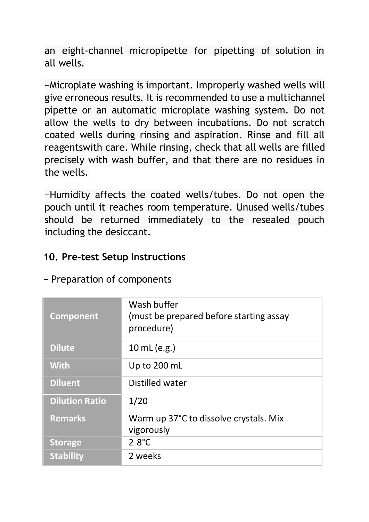an eight-channel micropipette for pipetting of solution in all wells.

−Microplate washing is important. Improperly washed wells will give erroneous results. It is recommended to use a multichannel pipette or an automatic microplate washing system. Do not allow the wells to dry between incubations. Do not scratch coated wells during rinsing and aspiration. Rinse and fill all reagentswith care. While rinsing, check that all wells are filled precisely with wash buffer, and that there are no residues in the wells.

−Humidity affects the coated wells/tubes. Do not open the pouch until it reaches room temperature. Unused wells/tubes should be returned immediately to the resealed pouch including the desiccant.

#### **10. Pre-test Setup Instructions**

| Component             | Wash buffer<br>(must be prepared before starting assay<br>procedure) |
|-----------------------|----------------------------------------------------------------------|
| <b>Dilute</b>         | 10 mL (e.g.)                                                         |
| <b>With</b>           | Up to 200 mL                                                         |
| <b>Diluent</b>        | Distilled water                                                      |
| <b>Dilution Ratio</b> | 1/20                                                                 |
| <b>Remarks</b>        | Warm up 37°C to dissolve crystals. Mix<br>vigorously                 |
| <b>Storage</b>        | $2-8$ °C                                                             |
| <b>Stability</b>      | 2 weeks                                                              |

− Preparation of components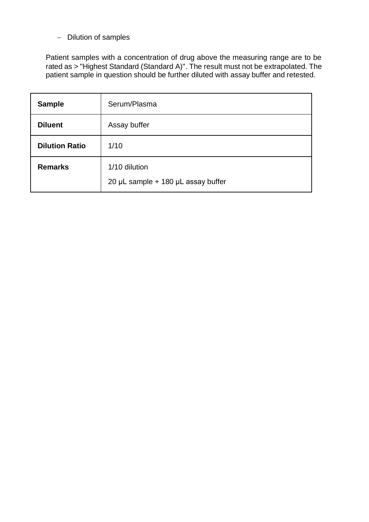− Dilution of samples

Patient samples with a concentration of drug above the measuring range are to be<br>rated as > "Highest Standard (Standard A)". The result must not be extrapolated. The<br>patient sample in question should be further diluted wit

| Sample                | Serum/Plasma                                        |
|-----------------------|-----------------------------------------------------|
| <b>Diluent</b>        | Assay buffer                                        |
| <b>Dilution Ratio</b> | 1/10                                                |
| Remarks               | 1/10 dilution<br>20 µL sample + 180 µL assay buffer |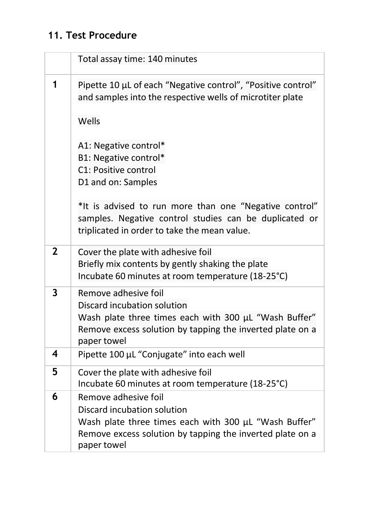# **11. Test Procedure**

|                | Total assay time: 140 minutes                                                                                                                                                            |
|----------------|------------------------------------------------------------------------------------------------------------------------------------------------------------------------------------------|
| 1              | Pipette 10 µL of each "Negative control", "Positive control"<br>and samples into the respective wells of microtiter plate                                                                |
|                | Wells                                                                                                                                                                                    |
|                | A1: Negative control*<br>B1: Negative control*<br>C1: Positive control<br>D1 and on: Samples                                                                                             |
|                | *It is advised to run more than one "Negative control"<br>samples. Negative control studies can be duplicated or<br>triplicated in order to take the mean value.                         |
| $\overline{2}$ | Cover the plate with adhesive foil<br>Briefly mix contents by gently shaking the plate<br>Incubate 60 minutes at room temperature (18-25°C)                                              |
| 3              | Remove adhesive foil<br>Discard incubation solution<br>Wash plate three times each with 300 µL "Wash Buffer"<br>Remove excess solution by tapping the inverted plate on a<br>paper towel |
| 4              | Pipette 100 µL "Conjugate" into each well                                                                                                                                                |
| 5              | Cover the plate with adhesive foil<br>Incubate 60 minutes at room temperature (18-25°C)                                                                                                  |
| 6              | Remove adhesive foil<br>Discard incubation solution<br>Wash plate three times each with 300 µL "Wash Buffer"<br>Remove excess solution by tapping the inverted plate on a<br>paper towel |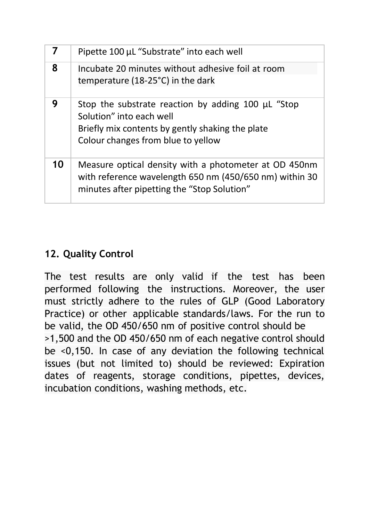| 7  | Pipette 100 µL "Substrate" into each well                                                                                                                                |
|----|--------------------------------------------------------------------------------------------------------------------------------------------------------------------------|
| 8  | Incubate 20 minutes without adhesive foil at room<br>temperature (18-25°C) in the dark                                                                                   |
| 9  | Stop the substrate reaction by adding 100 µL "Stop<br>Solution" into each well<br>Briefly mix contents by gently shaking the plate<br>Colour changes from blue to yellow |
| 10 | Measure optical density with a photometer at OD 450nm<br>with reference wavelength 650 nm (450/650 nm) within 30<br>minutes after pipetting the "Stop Solution"          |

# **12. Quality Control**

The test results are only valid if the test has been performed following the instructions. Moreover, the user must strictly adhere to the rules of GLP (Good Laboratory Practice) or other applicable standards/laws. For the run to be valid, the OD 450/650 nm of positive control should be >1,500 and the OD 450/650 nm of each negative control should be <0,150. In case of any deviation the following technical issues (but not limited to) should be reviewed: Expiration dates of reagents, storage conditions, pipettes, devices, incubation conditions, washing methods, etc.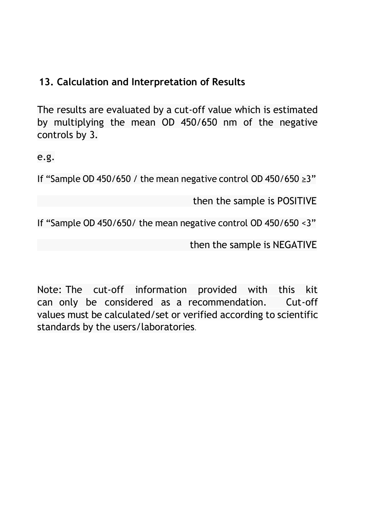#### **13. Calculation and Interpretation of Results**

The results are evaluated by a cut-off value which is estimated by multiplying the mean OD 450/650 nm of the negative controls by 3.

e.g.

If "Sample OD 450/650 / the mean negative control OD 450/650 ≥3"

then the sample is POSITIVE

If "Sample OD 450/650/ the mean negative control OD 450/650 <3"

then the sample is NEGATIVE

Note: The cut-off information provided with this kit can only be considered as a recommendation. Cut-off values must be calculated/set or verified according to scientific standards by the users/laboratories.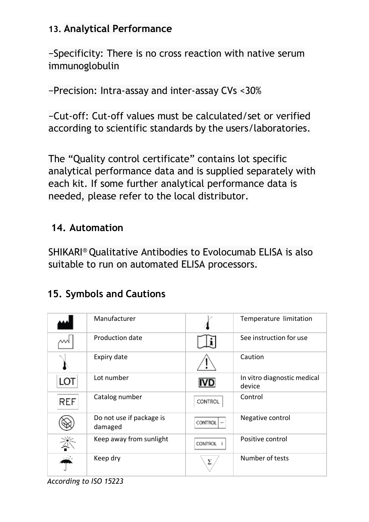#### **13. Analytical Performance**

−Specificity: There is no cross reaction with native serum immunoglobulin

−Precision: Intra-assay and inter-assay CVs <30%

−Cut-off: Cut-off values must be calculated/set or verified according to scientific standards by the users/laboratories.

The "Quality control certificate" contains lot specific analytical performance data and is supplied separately with each kit. If some further analytical performance data is needed, please refer to the local distributor.

### **14. Automation**

SHIKARI® Qualitative Antibodies to Evolocumab ELISA is also suitable to run on automated ELISA processors.

# **15. Symbols and Cautions**

|            | Manufacturer                        |                | Temperature limitation                |
|------------|-------------------------------------|----------------|---------------------------------------|
|            | Production date                     |                | See instruction for use               |
|            | Expiry date                         |                | Caution                               |
| LOT        | Lot number                          | IVD            | In vitro diagnostic medical<br>device |
| <b>REF</b> | Catalog number                      | CONTROL        | Control                               |
|            | Do not use if package is<br>damaged | <b>CONTROL</b> | Negative control                      |
|            | Keep away from sunlight             | <b>CONTROL</b> | Positive control                      |
|            | Keep dry                            | Σ              | Number of tests                       |

*According to ISO 15223*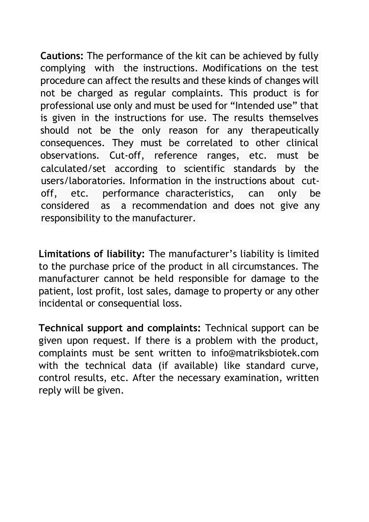**Cautions:** The performance of the kit can be achieved by fully complying with the instructions. Modifications on the test procedure can affect the results and these kinds of changes will not be charged as regular complaints. This product is for professional use only and must be used for "Intended use" that is given in the instructions for use. The results themselves should not be the only reason for any therapeutically consequences. They must be correlated to other clinical observations. Cut-off, reference ranges, etc. must be calculated/set according to scientific standards by the users/laboratories. Information in the instructions about cutoff, etc. performance characteristics, can only be considered as a recommendation and does not give any responsibility to the manufacturer.

**Limitations of liability:** The manufacturer's liability is limited to the purchase price of the product in all circumstances. The manufacturer cannot be held responsible for damage to the patient, lost profit, lost sales, damage to property or any other incidental or consequential loss.

**Technical support and complaints:** Technical support can be given upon request. If there is a problem with the product, complaints must be sent written to [info@matriksbiotek.com](mailto:info@matriksbiotek.com) with the technical data (if available) like standard curve, [control results, etc.](https://pubmed.ncbi.nlm.nih.gov/?term=Henry%2BCA&cauthor_id=27143910) [After the neces](https://pubmed.ncbi.nlm.nih.gov/?term=Lyon%2BRA&cauthor_id=27143910)s[ary examin](https://pubmed.ncbi.nlm.nih.gov/?term=Ling%2BH&cauthor_id=27143910)ation, written reply will be [given.](https://pubmed.ncbi.nlm.nih.gov/?term=Henry%2BCA&cauthor_id=27143910)